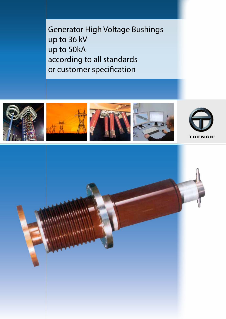Generator High Voltage Bushings up to 36 kV up to 50kA according to all standards or customer specification



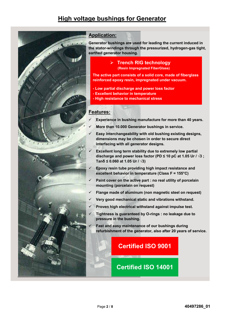# **High voltage bushings for Generator**



### **Application:**

**Generator bushings are used for leading the current induced in the stator-windings through the pressurized, hydrogen-gas tight, earthed generator housing.** 

### **Trench RIG technology** are used the current induced in  $\mathbf{F}$ **(Resin Impregnated FiberGlass) the stational state of pressurized, hydrogen-gas tight, and pressurized, and**

The active part consists of a solid core, made of fiberglass **reinforced epoxy resin, impregnated under vacuum. Trench RIG technology**

- **Low partial discharge and power loss factor**
- **The active part consists of a solid core, made of a solid core, made of a solid core, made of**  $\mathbf{r}$
- **F High resistance to mechanical stress**

#### **Features: - Excellent behavior in temperature Low partial discharge and power loss factors**

- **Experience in bushing manufacture for more than 40 years. - High resistance to mechanical stress**
	- **More than 10.000 Generator bushings in service.**
- **Easy interchangeability with old bushing existing designs, Features:** dimensions may be chosen in order to secure direct interfacing with all generator designs.
- **Excellent long term stability due to extremely low partial discharge and power loss factor (PD ≤ 10 pC at 1.05 Ur / √3**;  $T = 100$  **CCC** at 1.05 Ur  $1/\sqrt{3}$ **interfacing with all generator designs.**
- **Epoxy resin tube providing high impact resistance and excellent behavior in temperature (Class F = 155°C) discription of power loss factor**  $\overline{\mathbf{C}}$  **at 1.05 U**
- **Paint cover on the active part : no real utility of porcelain Tanδ ≤ 0.060 at 1.05 Ur / √3) mounting (porcelain on request) Epoxy resin tube providing high impact resistance and**
- **► Flange made of aluminum (non magnetic steel on request)**
- **∕ Very good mechanical static and vibrations withstand.**
- **Proven high electrical withstand against impulse test. mounting (porcelain on request)**
- **Tightness is guaranteed by O-rings : no leakage due to Flange made of aluminum (non magnetic steel on request) Pressure in the bushing. Very good means with static and vibrations with static and vibrations with static and vibrations with static and vibrations with**  $\mathbf{v}$
- $\checkmark$  Fast and easy maintenance of our bushings during **refurbishment of the generator, also after 20 years of service. Tightness is guaranteed by O-rings : no leakage due to**

### **Fast and Exertified ISO 9001 refurbishment of the generator, also after 20 years of service.**

**pressure in the bushing.**

# **Certified ISO 14001**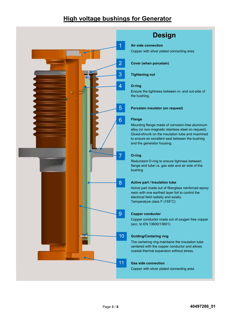# **High voltage bushings for Generator**



# **Design**

### **Air side connection**

Copper with silver plated connecting area<br> *Copper* 

**Cover (when porcelain)** 

### **Tightening nut**

#### **O-ring Cover (when porcelain)**

Ensure the tightness between in- and out-side of the bushing.

#### **Porcelain insulator (on request)** Ensure the tightness between in- and out-side of

### **Flange**

Mounting flange made of corrosion-free aluminum alloy (or non-magnetic stainless steel on request). Glued-shrunk on the insulation tube and machined to ensure an excellent seal between the bushing **Flange** and the generator housing.<br>Mounting flange made of corresponding flange made of corresponding to the corresponding of the corresponding o

#### **O-ring**  $\lim_{\alpha\to 0} \frac{1}{\alpha} \int_{-\infty}^{\infty} \frac{1}{\alpha} \, \mathrm{d}x$

Redundant O-ring to ensure tighness between reduridant  $\sigma$  might ensure agriness between bushing

### **Active part / Insulation tube**

Active part made out of fiberglass reinforced epoxy resin with one earthed layer foil to control the electrical field radially and axially. Temperature class F (155°C)

Active part made out of fiberglass reinforced epoxy

### **Copper conductor**

copper conductor made out of oxygen free copper  $\frac{3}{2}$  conductor made caller  $\frac{3}{2}$ 

## **Guiding/Centering ring**

The centering ring maintains the insulation tube centered with the copper conductor and allows coaxial thermal expansion without stress.  $\sim$  concerng may maintain  $\sim$ 

### **Gas side connection**<br>The centering maintains the insulation tube

Copper with silver plated connecting area pper with enver plated connecting area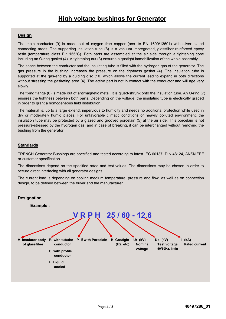### **Design**

The main conductor (9) is made out of oxygen free copper (acc. to EN 1600/13601) with silver plated connecting areas. The supporting insulation tube (8) is a vacuum impregnated, glassfiber reinforced epoxy resin (temperature class F : 155°C). Both parts are assembled at the air side through a tightening cone **Design** including an O-ring gasket (4). A tightening nut (3) ensures a gastight immobilization of the whole assembly.

The space between the conductor and the insulating tube is filled with the hydrogen gas of the generator. The ence space connection the connection the the including data to the connecting the supporting connection the supporting increases the pressure on the tightness gasket (4). The insulation tube is supported at the gas-end by a guiding disc  $(10)$  which allows the current lead to expand in both directions without stressing the gasketing area (4). The active part is not in contact with the conductor and will age very slowly.  $\mathsf{wly.}$  The space between the insulating tube is filled with the filled with the generator. The generator. The generator. The generator. The generator. The generator. The generator. The generator. The generator. The ge

The fixing flange (6) is made out of antimagnetic metal. It is glued-shrunk onto the insulation tube. An O-ring (7) ensures the tightness between both parts. Depending on the voltage, the insulating tube is electrically graded in order to grant a homogeneous field distribution.<br>' where  $\alpha$  is not a homogeneous field distribution.

The material is, up to a large extend, impervious to humidity and needs no additional protection while used in dry or moderately humid places. For unfavorable climatic conditions or heavily polluted environment, the ing of interesting training protection of anti-termine commence on the voltage, permeters commenced, the tight mediation take may be pressed by a graced and greener personal (s) as the alleger the pressure-<br>pressure-stressed by the hydrogen gas, and in case of breaking, it can be interchanged without removing the bushing from the generator. The material is, up to a large extend, in protection which while used in the material protection while used in the material protection while used in the material protection while used in the mat

#### **Standards** pressure-stressed by the hydrogen gas, and in case of breaking, it can be interchanged without removing the hydrogen gas, and in case of breaking, it can be interchanged without removing the moving the second without remov

TRENCH Generator Bushings are specified and tested according to latest IEC 60137, DIN 48124, ANSI/IEEE or customer specification.

The dimensions depend on the specified rated and test values. The dimensions may be chosen in order to secure direct interfacing with all generator designs. Trench Generator Bushings are specified and tested and tested and tested and tested and tested and tested and <br>IEEEE 60137, Din 48124, ANSI/IEEE 4124, ANSI/IEEE 4124, ANSI/IEEE 4124, ANSI/IEEE 4124, ANSI/IEEE 4124, ANSI/I

The current load is depending on cooling medium temperature, pressure and flow, as well as on connection design, to be defined between the buyer and the manufacturer.  $T_{\rm eff}$  is dimensions depend on the specified rate dimensions may be chosen in order to dimensions may be chosen in order to  $T_{\rm eff}$ 

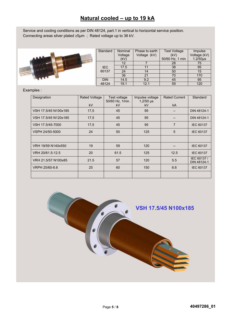## **Natural cooled – up to 19 kA**

Service and cooling conditions as per DIN 48124, part.1 in vertical to horizontal service position. Connecting areas silver plated ≥5µm ; Rated voltage up to 36 kV. **Natural cooled – up to 19 kA**



|                 | Standard   | Nominal | Phase to earth | <b>Test Voltage</b> | Impulse       |
|-----------------|------------|---------|----------------|---------------------|---------------|
| $A \oplus B$    |            | Voltage | Voltage (kV)   | (kV)                | Voltage (kV)  |
|                 |            | (kV)    |                | 50/60 Hz, 1 min     | $1.2/50\mu s$ |
|                 |            | 12      |                | 28                  | 75            |
| <b>ATTITUDE</b> | <b>IEC</b> | 17.5    |                | 38                  | 95            |
|                 | 60137      | 24      |                | 50                  | 15            |
|                 |            | 36      | 21             | 70                  | 170           |
|                 | <b>DIN</b> | 14.5    | 9.2            | 45                  | 95            |
|                 | 48124      | 19.1    | 12.1           | 59                  | 120           |

Examples :

| <b>Rated Voltage</b> | Test voltage | Impulse voltage | <b>Rated Current</b> | Standard                   |
|----------------------|--------------|-----------------|----------------------|----------------------------|
| <b>kV</b>            | <b>kV</b>    | <b>kV</b>       | <b>kA</b>            |                            |
| 17,5                 | 45           | 95              |                      | DIN 48124-1                |
| 17,5                 | 45           | 95              |                      | DIN 48124-1                |
| 17,5                 | 45           | 95              | $\overline{7}$       | <b>IEC 60137</b>           |
| 24                   | 50           | 125             | 5                    | <b>IEC 60137</b>           |
|                      |              |                 |                      |                            |
| 19                   | 59           | 120             |                      | <b>IEC 60137</b>           |
| 20                   | 61.5         | 125             | 12.5                 | <b>IEC 60137</b>           |
| 21.5                 | 57           | 120             | 5.5                  | IEC 60137 /<br>DIN 48124-1 |
| 25                   | 60           | 150             | 6.6                  | <b>IEC 60137</b>           |
|                      |              |                 |                      |                            |
|                      |              | 50/60 Hz, 1min. | $1,2/50$ µs          |                            |

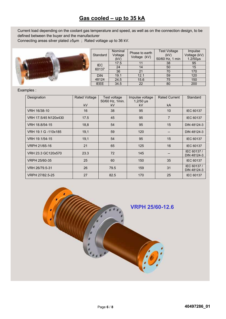## **Gas cooled – up to 35 kA**

Current load depending on the coolant gas temperature and speed, as well as on the connection design, to be defined between the buyer and the manufacturer

demied between the buyer and the mandiacturer<br>Connecting areas silver plated ≥5µm ; Rated voltage up to 36 kV.



### Examples :

| Designation          | <b>Rated Voltage</b><br>kV | Test voltage<br>50/60 Hz, 1min.<br>kV | Impulse voltage<br>$1,2/50$ µs<br>kV | <b>Rated Current</b><br>kA | Standard                   |
|----------------------|----------------------------|---------------------------------------|--------------------------------------|----------------------------|----------------------------|
|                      |                            |                                       |                                      |                            |                            |
| VRH 16/38-10         | 16                         | 38                                    | 95                                   | 10                         | <b>IEC 60137</b>           |
| VRH 17.5/45 N120x430 | 17.5                       | 45                                    | 95                                   | $\overline{7}$             | <b>IEC 60137</b>           |
| VRH 18.8/54-15       | 18,8                       | 54                                    | 95                                   | 15                         | DIN 48124-3                |
| VRH 19.1 G -110x185  | 19,1                       | 59                                    | 120                                  |                            | DIN 48124-3                |
| VRH 19.1/54-15       | 19,1                       | 54                                    | 95                                   | 15                         | <b>IEC 60137</b>           |
| VRPH 21/65-16        | 21                         | 65                                    | 125                                  | 16                         | <b>IEC 60137</b>           |
| VRH 23.3 GC120x570   | 23.3                       | 72                                    | 145                                  |                            | IEC 60137 /<br>DIN 48124-3 |
| VRPH 25/60-35        | 25                         | 60                                    | 150                                  | 35                         | <b>IEC 60137</b>           |
| VRH 26/79.5-31       | 26                         | 79.5                                  | 159                                  | 31                         | IEC 60137 /<br>DIN 48124-3 |
| VRPH 27/82.5-25      | 27                         | 82.5                                  | 170                                  | 25                         | <b>IEC 60137</b>           |



Impulse

 $\frac{1.2/50 \text{ }\mu\text{s}}{95}$ 

170  $120$ 150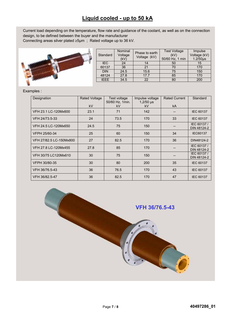# **Liquid cooled - up to 50 kA**

Current load depending on the temperature, flow rate and guidance of the coolant, as well as on the connection design, to be defined between the buyer and the manufacturer **Connecting areas silver plated ≥5µm**; Rated voltage up to 36 kV.



|                  | Standard    | Nominal<br>Voltage<br>(kV) | Phase to earth<br>Voltage (kV) | <b>Test Voltage</b><br>(kV)<br>50/60 Hz, 1 min | Impulse<br>Voltage (kV)<br>$1.2/50\mu s$ |
|------------------|-------------|----------------------------|--------------------------------|------------------------------------------------|------------------------------------------|
| <b>Address A</b> | <b>IEC</b>  | 24                         |                                | 50                                             | 15 <sub>1</sub>                          |
|                  | 60137       | 36                         |                                | 70                                             | 170                                      |
|                  | <b>DIN</b>  | 24.5                       | 15.6                           | 75                                             | 150                                      |
|                  | 48124       | 27.8                       | 17.7                           | 85                                             | 170                                      |
|                  | <b>IEEE</b> | 34.5                       | 22                             | 80                                             | 200                                      |
|                  |             |                            |                                |                                                |                                          |

### Examples :

| Designation             | <b>Rated Voltage</b> | Test voltage<br>50/60 Hz, 1min. | Impulse voltage<br>$1,2/50 \,\mu s$ | <b>Rated Current</b> | Standard                   |
|-------------------------|----------------------|---------------------------------|-------------------------------------|----------------------|----------------------------|
|                         | kV                   | kV                              | kV                                  | kA                   |                            |
| VFH 23.1 LC-120Mx600    | 23.1                 | 71                              | 142                                 |                      | <b>IEC 60137</b>           |
| VFH 24/73.5-33          | 24                   | 73.5                            | 170                                 | 33                   | <b>IEC 60137</b>           |
| VFH 24.5 LC-120Mx650    | 24.5                 | 75                              | 150                                 |                      | IEC 60137 /<br>DIN 48124-2 |
| VFPH 25/60-34           | 25                   | 60                              | 150                                 | 34                   | <b>IEC60137</b>            |
| VFH 27/82.5 LC-150Mx800 | 27                   | 82.5                            | 170                                 | 36                   | DIN48124-2                 |
| VFH 27.8 LC-120Mx455    | 27.8                 | 85                              | 170                                 |                      | IEC 60137/<br>DIN 48124-2  |
| VFH 30/75 LC120Mx610    | 30                   | 75                              | 150                                 |                      | IEC 60137 /<br>DIN 48124-2 |
| VFPH 30/80-35           | 30                   | 80                              | 200                                 | 35                   | <b>IEC 60137</b>           |
| VFH 36/76.5-43          | 36                   | 76.5                            | 170                                 | 43                   | <b>IEC 60137</b>           |
| VFH 36/82.5-47          | 36                   | 82.5                            | 170                                 | 47                   | <b>IEC 60137</b>           |